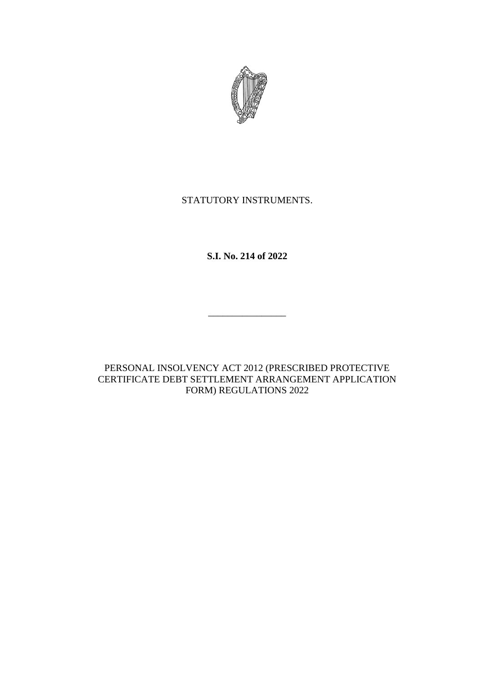

### STATUTORY INSTRUMENTS.

**S.I. No. 214 of 2022**

\_\_\_\_\_\_\_\_\_\_\_\_\_\_\_\_

PERSONAL INSOLVENCY ACT 2012 (PRESCRIBED PROTECTIVE CERTIFICATE DEBT SETTLEMENT ARRANGEMENT APPLICATION FORM) REGULATIONS 2022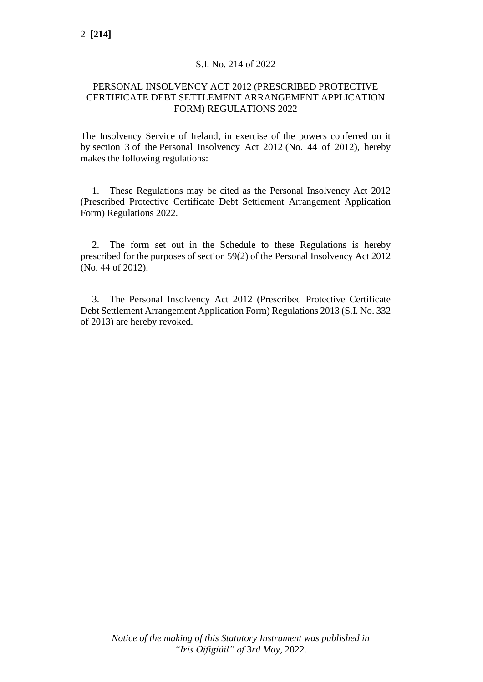#### S.I. No. 214 of 2022

#### PERSONAL INSOLVENCY ACT 2012 (PRESCRIBED PROTECTIVE CERTIFICATE DEBT SETTLEMENT ARRANGEMENT APPLICATION FORM) REGULATIONS 2022

The Insolvency Service of Ireland, in exercise of the powers conferred on it by section 3 of the Personal Insolvency Act 2012 (No. 44 of 2012), hereby makes the following regulations:

1. These Regulations may be cited as the Personal Insolvency Act 2012 (Prescribed Protective Certificate Debt Settlement Arrangement Application Form) Regulations 2022.

2. The form set out in the Schedule to these Regulations is hereby prescribed for the purposes of section 59(2) of the Personal Insolvency Act 2012 (No. 44 of 2012).

3. The Personal Insolvency Act 2012 (Prescribed Protective Certificate Debt Settlement Arrangement Application Form) Regulations 2013 (S.I. No. 332 of 2013) are hereby revoked.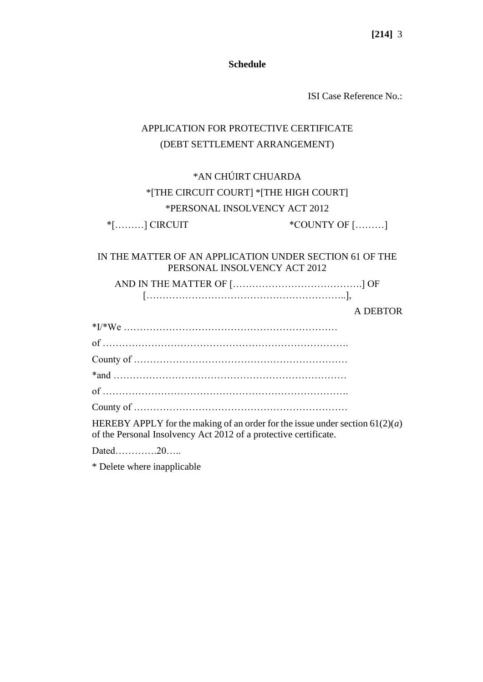**[214]** 3

**Schedule**

ISI Case Reference No.:

# APPLICATION FOR PROTECTIVE CERTIFICATE (DEBT SETTLEMENT ARRANGEMENT)

# \*AN CHÚIRT CHUARDA \*[THE CIRCUIT COURT] \*[THE HIGH COURT] \*PERSONAL INSOLVENCY ACT 2012

\*[………] CIRCUIT \*COUNTY OF [………]

#### IN THE MATTER OF AN APPLICATION UNDER SECTION 61 OF THE PERSONAL INSOLVENCY ACT 2012

AND IN THE MATTER OF [………………………………….] OF [……………………………………………………..],

#### A DEBTOR

\*I/\*We ………………………………………………………… of …………………………………………………………………. County of ………………………………………………………… \*and ……………………………………………………………… of …………………………………………………………………. County of …………………………………………………………

HEREBY APPLY for the making of an order for the issue under section 61(2)(*a*) of the Personal Insolvency Act 2012 of a protective certificate.

Dated 20

\* Delete where inapplicable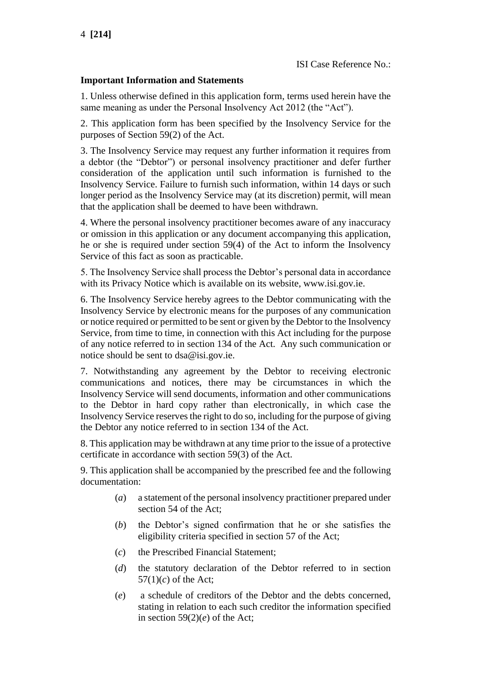#### **Important Information and Statements**

1. Unless otherwise defined in this application form, terms used herein have the same meaning as under the Personal Insolvency Act 2012 (the "Act").

2. This application form has been specified by the Insolvency Service for the purposes of Section 59(2) of the Act.

3. The Insolvency Service may request any further information it requires from a debtor (the "Debtor") or personal insolvency practitioner and defer further consideration of the application until such information is furnished to the Insolvency Service. Failure to furnish such information, within 14 days or such longer period as the Insolvency Service may (at its discretion) permit, will mean that the application shall be deemed to have been withdrawn.

4. Where the personal insolvency practitioner becomes aware of any inaccuracy or omission in this application or any document accompanying this application, he or she is required under section 59(4) of the Act to inform the Insolvency Service of this fact as soon as practicable.

5. The Insolvency Service shall process the Debtor's personal data in accordance with its Privacy Notice which is available on its website, www.isi.gov.ie.

6. The Insolvency Service hereby agrees to the Debtor communicating with the Insolvency Service by electronic means for the purposes of any communication or notice required or permitted to be sent or given by the Debtor to the Insolvency Service, from time to time, in connection with this Act including for the purpose of any notice referred to in section 134 of the Act. Any such communication or notice should be sent to dsa@isi.gov.ie.

7. Notwithstanding any agreement by the Debtor to receiving electronic communications and notices, there may be circumstances in which the Insolvency Service will send documents, information and other communications to the Debtor in hard copy rather than electronically, in which case the Insolvency Service reserves the right to do so, including for the purpose of giving the Debtor any notice referred to in section 134 of the Act.

8. This application may be withdrawn at any time prior to the issue of a protective certificate in accordance with section 59(3) of the Act.

9. This application shall be accompanied by the prescribed fee and the following documentation:

- (*a*) a statement of the personal insolvency practitioner prepared under section 54 of the Act;
- (*b*) the Debtor's signed confirmation that he or she satisfies the eligibility criteria specified in section 57 of the Act;
- (*c*) the Prescribed Financial Statement;
- (*d*) the statutory declaration of the Debtor referred to in section  $57(1)(c)$  of the Act;
- (*e*) a schedule of creditors of the Debtor and the debts concerned, stating in relation to each such creditor the information specified in section  $59(2)(e)$  of the Act;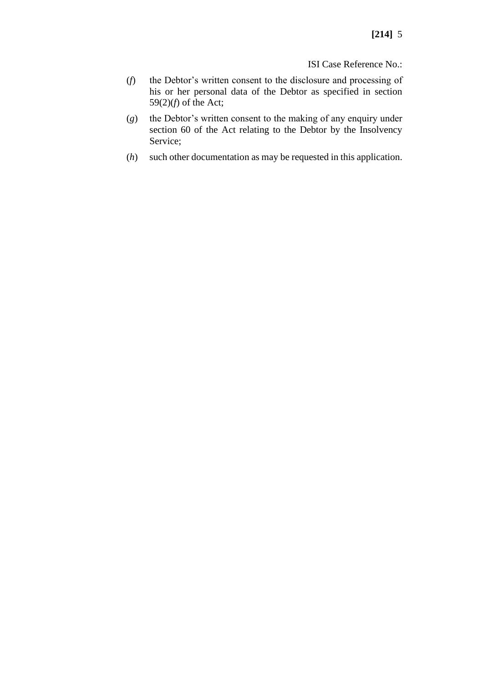- (*f*) the Debtor's written consent to the disclosure and processing of his or her personal data of the Debtor as specified in section 59(2)(*f*) of the Act;
- (*g*) the Debtor's written consent to the making of any enquiry under section 60 of the Act relating to the Debtor by the Insolvency Service;
- (*h*) such other documentation as may be requested in this application.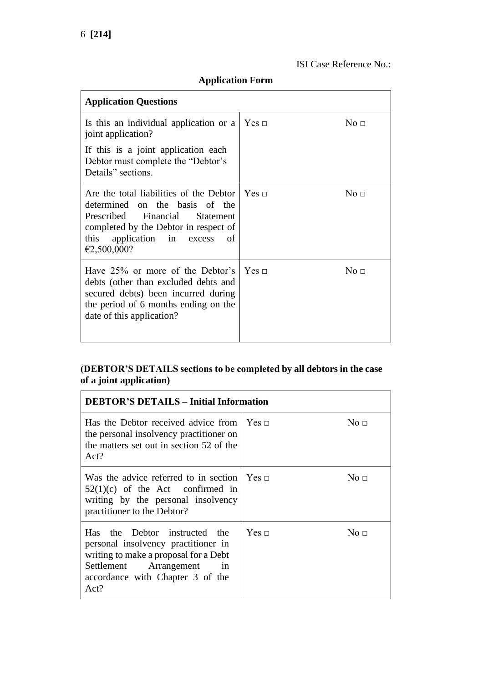# **Application Form**

| <b>Application Questions</b>                                                                                                                                                                                                               |                     |                     |
|--------------------------------------------------------------------------------------------------------------------------------------------------------------------------------------------------------------------------------------------|---------------------|---------------------|
| Is this an individual application or a<br>joint application?                                                                                                                                                                               | $Yes \sqcap$        | $\mathrm{No}\ \Box$ |
| If this is a joint application each<br>Debtor must complete the "Debtor's<br>Details" sections.                                                                                                                                            |                     |                     |
| Are the total liabilities of the Debtor $\Gamma$ Yes $\Gamma$<br>determined on the basis of the<br>Prescribed Financial<br><b>Statement</b><br>completed by the Debtor in respect of<br>application in excess<br>this<br>of<br>€2,500,000? |                     | No <sub>1</sub>     |
| Have 25% or more of the Debtor's<br>debts (other than excluded debts and<br>secured debts) been incurred during<br>the period of 6 months ending on the<br>date of this application?                                                       | $\Gamma$ Yes $\Box$ | No <sub>□</sub>     |

#### **(DEBTOR'S DETAILS sections to be completed by all debtors in the case of a joint application)**

| <b>DEBTOR'S DETAILS - Initial Information</b>                                                                                                                                              |              |           |
|--------------------------------------------------------------------------------------------------------------------------------------------------------------------------------------------|--------------|-----------|
| Has the Debtor received advice from $\vert$ Yes $\vert$<br>the personal insolvency practitioner on<br>the matters set out in section 52 of the<br>Act?                                     |              | No $\Box$ |
| Was the advice referred to in section $\vert$ Yes $\vert$<br>$52(1)(c)$ of the Act confirmed in<br>writing by the personal insolvency<br>practitioner to the Debtor?                       |              | No $\Box$ |
| the Debtor instructed the<br>Has.<br>personal insolvency practitioner in<br>writing to make a proposal for a Debt<br>Settlement Arrangement in<br>accordance with Chapter 3 of the<br>Act? | $Yes \sqcap$ | No $\Box$ |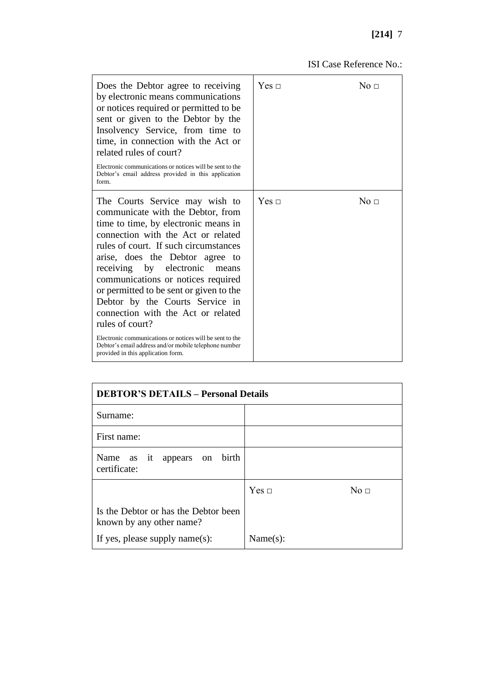# **[214]** 7

| Does the Debtor agree to receiving<br>by electronic means communications<br>or notices required or permitted to be<br>sent or given to the Debtor by the<br>Insolvency Service, from time to<br>time, in connection with the Act or<br>related rules of court?<br>Electronic communications or notices will be sent to the<br>Debtor's email address provided in this application<br>form.                                                                                                                                                                                                                | $Yes \sqcap$ | No $\Box$       |
|-----------------------------------------------------------------------------------------------------------------------------------------------------------------------------------------------------------------------------------------------------------------------------------------------------------------------------------------------------------------------------------------------------------------------------------------------------------------------------------------------------------------------------------------------------------------------------------------------------------|--------------|-----------------|
| The Courts Service may wish to<br>communicate with the Debtor, from<br>time to time, by electronic means in<br>connection with the Act or related<br>rules of court. If such circumstances<br>arise, does the Debtor agree to<br>receiving by electronic<br>means<br>communications or notices required<br>or permitted to be sent or given to the<br>Debtor by the Courts Service in<br>connection with the Act or related<br>rules of court?<br>Electronic communications or notices will be sent to the<br>Debtor's email address and/or mobile telephone number<br>provided in this application form. | $Yes \sqcap$ | No <sub>1</sub> |

| <b>DEBTOR'S DETAILS - Personal Details</b>                       |                                 |  |
|------------------------------------------------------------------|---------------------------------|--|
| Surname:                                                         |                                 |  |
| First name:                                                      |                                 |  |
| appears on birth<br>Name as it<br>certificate:                   |                                 |  |
|                                                                  | $Yes \sqcap$<br>No <sub>1</sub> |  |
| Is the Debtor or has the Debtor been<br>known by any other name? |                                 |  |
| If yes, please supply name $(s)$ :                               | Name(s):                        |  |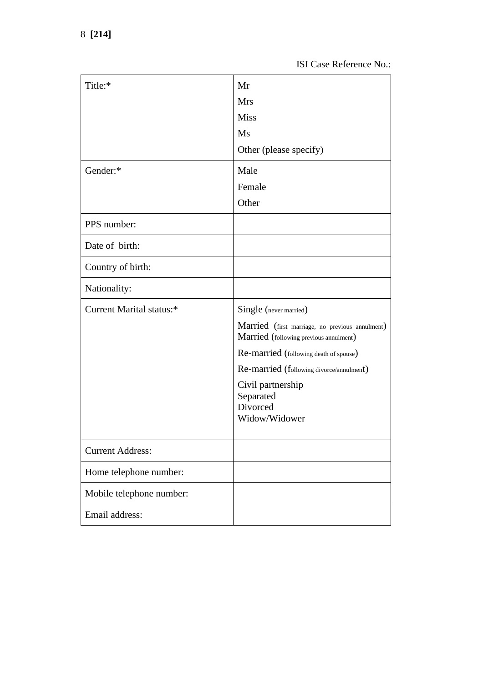| Title:*                  | Mr                                                                                        |
|--------------------------|-------------------------------------------------------------------------------------------|
|                          | <b>Mrs</b>                                                                                |
|                          | <b>Miss</b>                                                                               |
|                          | Ms                                                                                        |
|                          | Other (please specify)                                                                    |
| Gender:*                 | Male                                                                                      |
|                          | Female                                                                                    |
|                          | Other                                                                                     |
| PPS number:              |                                                                                           |
| Date of birth:           |                                                                                           |
| Country of birth:        |                                                                                           |
| Nationality:             |                                                                                           |
| Current Marital status:* | Single (never married)                                                                    |
|                          | Married (first marriage, no previous annulment)<br>Married (following previous annulment) |
|                          | Re-married (following death of spouse)                                                    |
|                          | Re-married (following divorce/annulment)                                                  |
|                          | Civil partnership                                                                         |
|                          | Separated<br>Divorced                                                                     |
|                          | Widow/Widower                                                                             |
|                          |                                                                                           |
| <b>Current Address:</b>  |                                                                                           |
| Home telephone number:   |                                                                                           |
| Mobile telephone number: |                                                                                           |
| Email address:           |                                                                                           |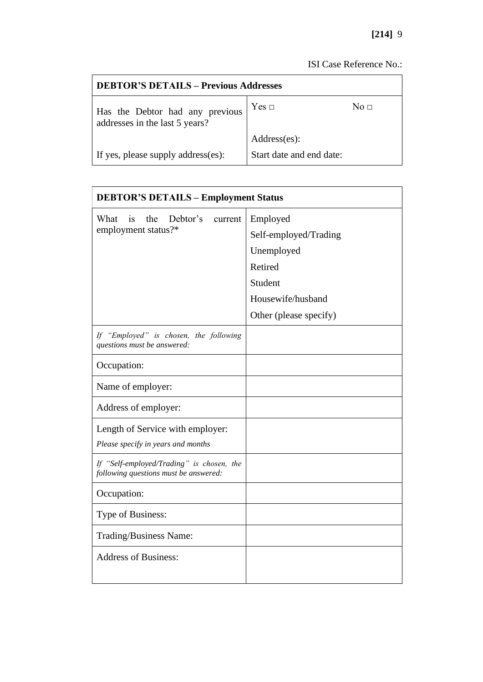| <b>DEBTOR'S DETAILS - Previous Addresses</b>                      |                          |           |
|-------------------------------------------------------------------|--------------------------|-----------|
| Has the Debtor had any previous<br>addresses in the last 5 years? | Yes ⊡                    | No $\Box$ |
|                                                                   | Address(es):             |           |
| If yes, please supply address(es):                                | Start date and end date: |           |

| <b>DEBTOR'S DETAILS - Employment Status</b>                                        |                        |  |
|------------------------------------------------------------------------------------|------------------------|--|
| What<br>the<br>Debtor's<br>is<br>current                                           | Employed               |  |
| employment status?*                                                                | Self-employed/Trading  |  |
|                                                                                    | Unemployed             |  |
|                                                                                    | Retired                |  |
|                                                                                    | Student                |  |
|                                                                                    | Housewife/husband      |  |
|                                                                                    | Other (please specify) |  |
| If "Employed" is chosen, the following<br>questions must be answered:              |                        |  |
| Occupation:                                                                        |                        |  |
| Name of employer:                                                                  |                        |  |
| Address of employer:                                                               |                        |  |
| Length of Service with employer:                                                   |                        |  |
| Please specify in years and months                                                 |                        |  |
| If "Self-employed/Trading" is chosen, the<br>following questions must be answered: |                        |  |
| Occupation:                                                                        |                        |  |
| Type of Business:                                                                  |                        |  |
| Trading/Business Name:                                                             |                        |  |
| <b>Address of Business:</b>                                                        |                        |  |
|                                                                                    |                        |  |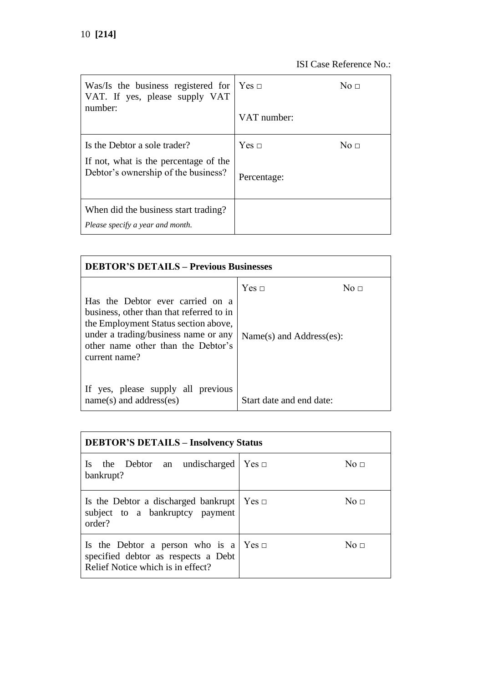| Was/Is the business registered for<br>VAT. If yes, please supply VAT<br>number:                              | Yes ⊡<br>VAT number:        | No $\Box$   |
|--------------------------------------------------------------------------------------------------------------|-----------------------------|-------------|
| Is the Debtor a sole trader?<br>If not, what is the percentage of the<br>Debtor's ownership of the business? | $Yes \sqcap$<br>Percentage: | No $\sqcap$ |
| When did the business start trading?<br>Please specify a year and month.                                     |                             |             |

| <b>DEBTOR'S DETAILS - Previous Businesses</b>                                                                                                                                                                       |                                               |           |
|---------------------------------------------------------------------------------------------------------------------------------------------------------------------------------------------------------------------|-----------------------------------------------|-----------|
| Has the Debtor ever carried on a<br>business, other than that referred to in<br>the Employment Status section above,<br>under a trading/business name or any<br>other name other than the Debtor's<br>current name? | $Yes \sqcap$<br>$Name(s)$ and $Address(es)$ : | No $\Box$ |
| If yes, please supply all previous<br>$name(s)$ and address(es)                                                                                                                                                     | Start date and end date:                      |           |

| <b>DEBTOR'S DETAILS – Insolvency Status</b>                                                                                       |       |                     |
|-----------------------------------------------------------------------------------------------------------------------------------|-------|---------------------|
| the Debtor an undischarged<br>Is.<br>bankrupt?                                                                                    | Yes ⊡ | $\mathrm{No}\ \Box$ |
| Is the Debtor a discharged bankrupt<br>subject to a bankruptcy payment<br>order?                                                  | Yes ⊡ | $\mathrm{No}\ \Box$ |
| Is the Debtor a person who is a $\text{Yes } \square$<br>specified debtor as respects a Debt<br>Relief Notice which is in effect? |       | $\mathrm{No}\ \Box$ |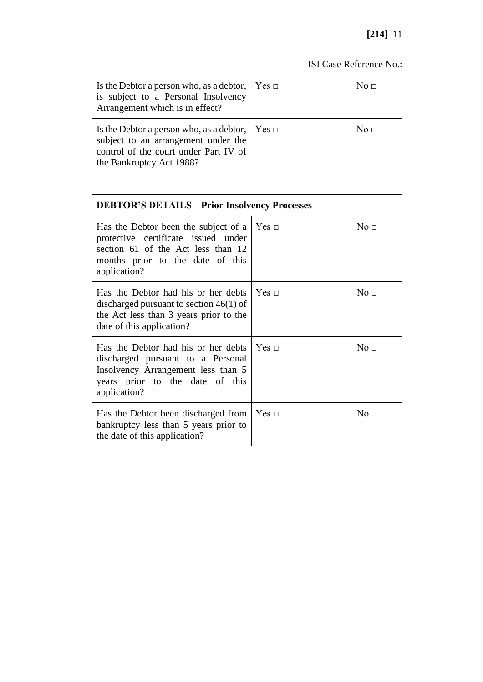| Is the Debtor a person who, as a debtor, $\vert$ Yes $\vert$<br>is subject to a Personal Insolvency<br>Arrangement which is in effect?                                   | No $\Box$   |
|--------------------------------------------------------------------------------------------------------------------------------------------------------------------------|-------------|
| Is the Debtor a person who, as a debtor, $\vert$ Yes $\vert$<br>subject to an arrangement under the<br>control of the court under Part IV of<br>the Bankruptcy Act 1988? | No $\sqcap$ |

| <b>DEBTOR'S DETAILS - Prior Insolvency Processes</b>                                                                                                                  |              |                     |
|-----------------------------------------------------------------------------------------------------------------------------------------------------------------------|--------------|---------------------|
| Has the Debtor been the subject of a<br>protective certificate issued under<br>section 61 of the Act less than 12<br>months prior to the date of this<br>application? | Yes ⊡        | No <sub>□</sub>     |
| Has the Debtor had his or her debts<br>discharged pursuant to section $46(1)$ of<br>the Act less than 3 years prior to the<br>date of this application?               | $Yes \sqcap$ | $\mathrm{No}\ \Box$ |
| Has the Debtor had his or her debts<br>discharged pursuant to a Personal<br>Insolvency Arrangement less than 5<br>years prior to the date of this<br>application?     | $Yes \sqcap$ | No <sub>1</sub>     |
| Has the Debtor been discharged from<br>bankruptcy less than 5 years prior to<br>the date of this application?                                                         | Yes ⊡        | No $\Box$           |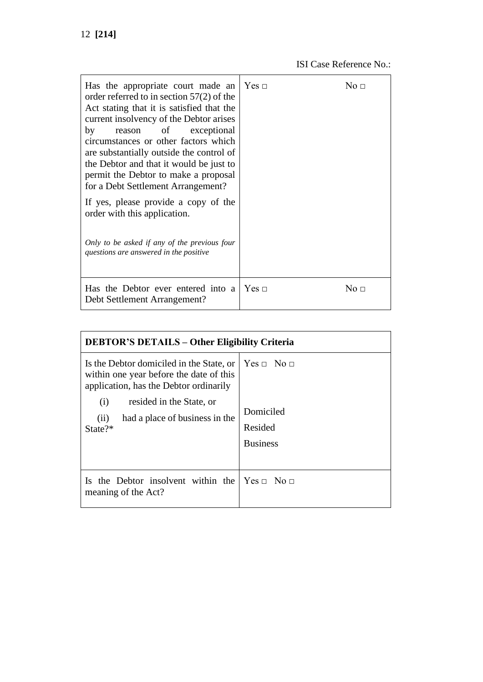| Has the appropriate court made an<br>order referred to in section $57(2)$ of the<br>Act stating that it is satisfied that the<br>current insolvency of the Debtor arises<br>reason of exceptional<br>by<br>circumstances or other factors which<br>are substantially outside the control of<br>the Debtor and that it would be just to<br>permit the Debtor to make a proposal<br>for a Debt Settlement Arrangement?<br>If yes, please provide a copy of the<br>order with this application.<br>Only to be asked if any of the previous four<br>questions are answered in the positive | Yes ⊡ | $\mathrm{No}\ \Box$ |
|----------------------------------------------------------------------------------------------------------------------------------------------------------------------------------------------------------------------------------------------------------------------------------------------------------------------------------------------------------------------------------------------------------------------------------------------------------------------------------------------------------------------------------------------------------------------------------------|-------|---------------------|
| Has the Debtor ever entered into a<br>Debt Settlement Arrangement?                                                                                                                                                                                                                                                                                                                                                                                                                                                                                                                     | Yes ⊡ | $\mathrm{No}\ \Box$ |

| <b>DEBTOR'S DETAILS – Other Eligibility Criteria</b>                                                                                                                                                                      |                                                                   |
|---------------------------------------------------------------------------------------------------------------------------------------------------------------------------------------------------------------------------|-------------------------------------------------------------------|
| Is the Debtor domiciled in the State, or<br>within one year before the date of this<br>application, has the Debtor ordinarily<br>resided in the State, or<br>(i)<br>had a place of business in the<br>(ii)<br>State $?^*$ | $Yes \sqcap No \sqcap$<br>Domiciled<br>Resided<br><b>Business</b> |
| Is the Debtor insolvent within the<br>meaning of the Act?                                                                                                                                                                 | $Yes \sqcap No \sqcap$                                            |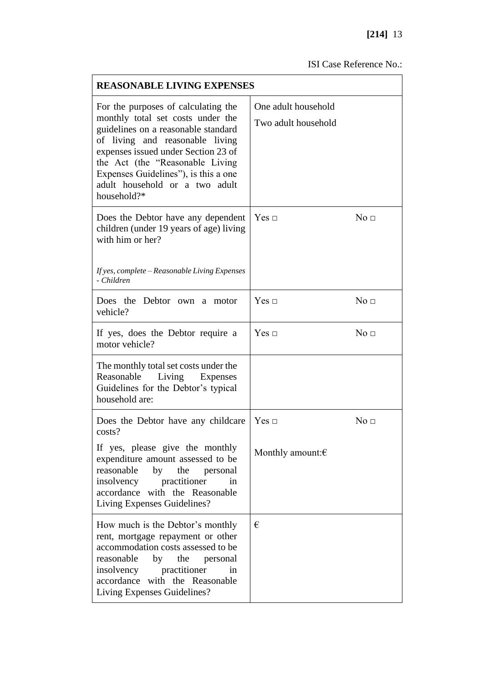| <b>REASONABLE LIVING EXPENSES</b>                                                                                                                                                                                                                                                                                    |                                            |                 |
|----------------------------------------------------------------------------------------------------------------------------------------------------------------------------------------------------------------------------------------------------------------------------------------------------------------------|--------------------------------------------|-----------------|
| For the purposes of calculating the<br>monthly total set costs under the<br>guidelines on a reasonable standard<br>of living and reasonable living<br>expenses issued under Section 23 of<br>the Act (the "Reasonable Living<br>Expenses Guidelines", is this a one<br>adult household or a two adult<br>household?* | One adult household<br>Two adult household |                 |
| Does the Debtor have any dependent<br>children (under 19 years of age) living<br>with him or her?<br>If yes, complete - Reasonable Living Expenses<br>- Children                                                                                                                                                     | Yes ⊡                                      | No <sub>1</sub> |
| Does the Debtor own a motor<br>vehicle?                                                                                                                                                                                                                                                                              | Yes ⊡                                      | No <sub>1</sub> |
| If yes, does the Debtor require a<br>motor vehicle?                                                                                                                                                                                                                                                                  | Yes ⊡                                      | No <sub>□</sub> |
| The monthly total set costs under the<br>Living<br>Reasonable<br>Expenses<br>Guidelines for the Debtor's typical<br>household are:                                                                                                                                                                                   |                                            |                 |
| Does the Debtor have any childcare<br>costs?                                                                                                                                                                                                                                                                         | Yes ⊡                                      | No <sub>□</sub> |
| If yes, please give the monthly<br>expenditure amount assessed to be<br>reasonable<br>by<br>the<br>personal<br>insolvency practitioner<br>in<br>accordance with the Reasonable<br>Living Expenses Guidelines?                                                                                                        | Monthly amount: $\epsilon$                 |                 |
| How much is the Debtor's monthly<br>rent, mortgage repayment or other<br>accommodation costs assessed to be<br>reasonable<br>by the personal<br>insolvency practitioner<br>in<br>accordance with the Reasonable<br>Living Expenses Guidelines?                                                                       | €                                          |                 |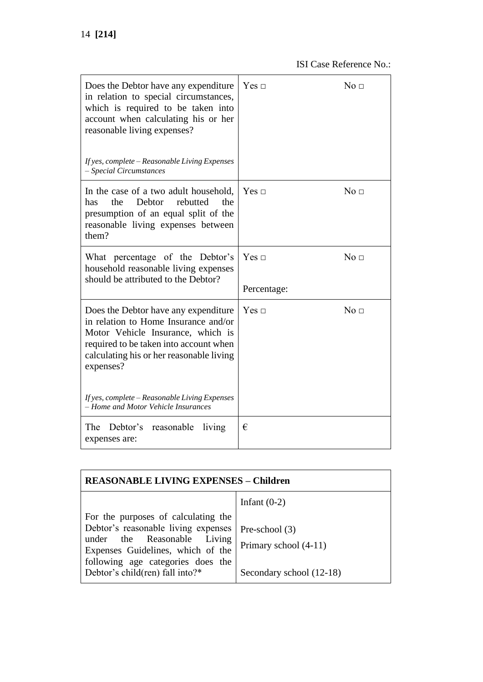| Does the Debtor have any expenditure<br>in relation to special circumstances,<br>which is required to be taken into<br>account when calculating his or her<br>reasonable living expenses?<br>If yes, complete - Reasonable Living Expenses<br>- Special Circumstances | $Yes \sqcap$                | No <sub>□</sub> |
|-----------------------------------------------------------------------------------------------------------------------------------------------------------------------------------------------------------------------------------------------------------------------|-----------------------------|-----------------|
| In the case of a two adult household,<br>the<br>Debtor<br>rebutted<br>has<br>the<br>presumption of an equal split of the<br>reasonable living expenses between<br>them?                                                                                               | Yes $\Box$                  | No $\Box$       |
| What percentage of the Debtor's<br>household reasonable living expenses<br>should be attributed to the Debtor?                                                                                                                                                        | Yes $\sqcap$<br>Percentage: | No <sub>1</sub> |
| Does the Debtor have any expenditure<br>in relation to Home Insurance and/or<br>Motor Vehicle Insurance, which is<br>required to be taken into account when<br>calculating his or her reasonable living<br>expenses?                                                  | $Yes \sqcap$                | No <sub>□</sub> |
| If yes, complete - Reasonable Living Expenses<br>- Home and Motor Vehicle Insurances                                                                                                                                                                                  |                             |                 |
| The<br>Debtor's<br>reasonable<br>living<br>expenses are:                                                                                                                                                                                                              | €                           |                 |

| <b>REASONABLE LIVING EXPENSES – Children</b>                                                                                             |                                                   |  |
|------------------------------------------------------------------------------------------------------------------------------------------|---------------------------------------------------|--|
| For the purposes of calculating the<br>Debtor's reasonable living expenses                                                               | Infant $(0-2)$<br>Pre-school $(3)$                |  |
| under the Reasonable Living<br>Expenses Guidelines, which of the<br>following age categories does the<br>Debtor's child(ren) fall into?* | Primary school (4-11)<br>Secondary school (12-18) |  |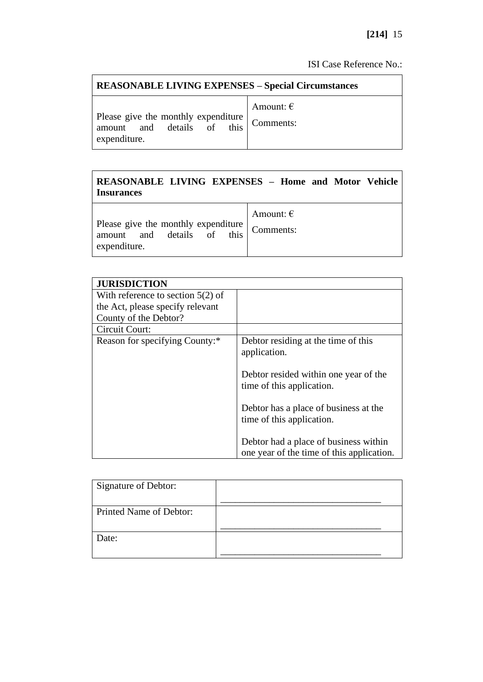| <b>REASONABLE LIVING EXPENSES - Special Circumstances</b>         |                    |  |
|-------------------------------------------------------------------|--------------------|--|
| Please give the monthly expenditure<br>amount and details of this | Amount: $\epsilon$ |  |
| expenditure.                                                      | Comments:          |  |

# **REASONABLE LIVING EXPENSES – Home and Motor Vehicle Insurances**

| Please give the monthly expenditure<br>amount and details of this Comments: | Amount: $\epsilon$ |
|-----------------------------------------------------------------------------|--------------------|
| expenditure.                                                                |                    |

| <b>JURISDICTION</b>                 |                                                                                    |
|-------------------------------------|------------------------------------------------------------------------------------|
|                                     |                                                                                    |
| With reference to section $5(2)$ of |                                                                                    |
| the Act, please specify relevant    |                                                                                    |
| County of the Debtor?               |                                                                                    |
| Circuit Court:                      |                                                                                    |
| Reason for specifying County:*      | Debtor residing at the time of this<br>application.                                |
|                                     | Debtor resided within one year of the<br>time of this application.                 |
|                                     | Debtor has a place of business at the<br>time of this application.                 |
|                                     | Debtor had a place of business within<br>one year of the time of this application. |

| Signature of Debtor:    |  |
|-------------------------|--|
| Printed Name of Debtor: |  |
| Date:                   |  |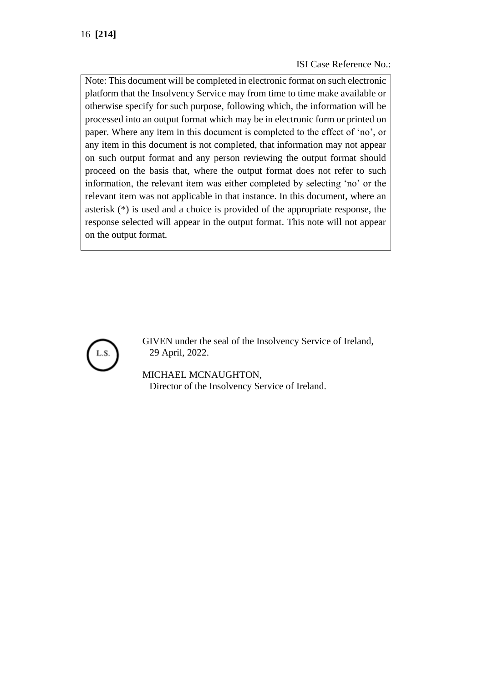Note: This document will be completed in electronic format on such electronic platform that the Insolvency Service may from time to time make available or otherwise specify for such purpose, following which, the information will be processed into an output format which may be in electronic form or printed on paper. Where any item in this document is completed to the effect of 'no', or any item in this document is not completed, that information may not appear on such output format and any person reviewing the output format should proceed on the basis that, where the output format does not refer to such information, the relevant item was either completed by selecting 'no' or the relevant item was not applicable in that instance. In this document, where an asterisk (\*) is used and a choice is provided of the appropriate response, the response selected will appear in the output format. This note will not appear on the output format.



GIVEN under the seal of the Insolvency Service of Ireland, 29 April, 2022.

MICHAEL MCNAUGHTON, Director of the Insolvency Service of Ireland.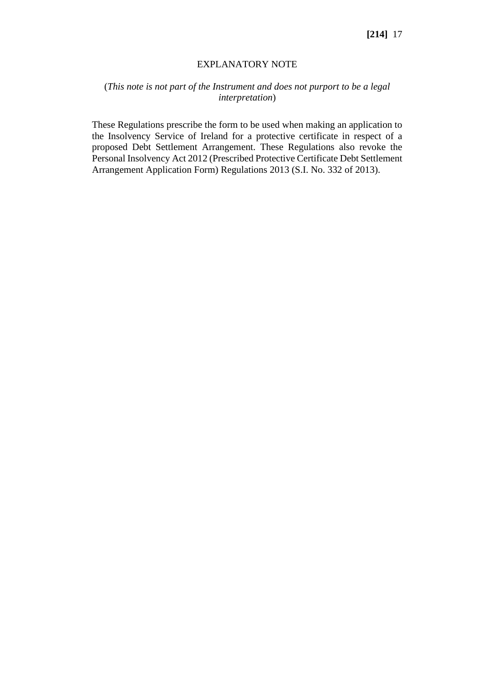#### EXPLANATORY NOTE

#### (*This note is not part of the Instrument and does not purport to be a legal interpretation*)

These Regulations prescribe the form to be used when making an application to the Insolvency Service of Ireland for a protective certificate in respect of a proposed Debt Settlement Arrangement. These Regulations also revoke the Personal Insolvency Act 2012 (Prescribed Protective Certificate Debt Settlement Arrangement Application Form) Regulations 2013 (S.I. No. 332 of 2013).